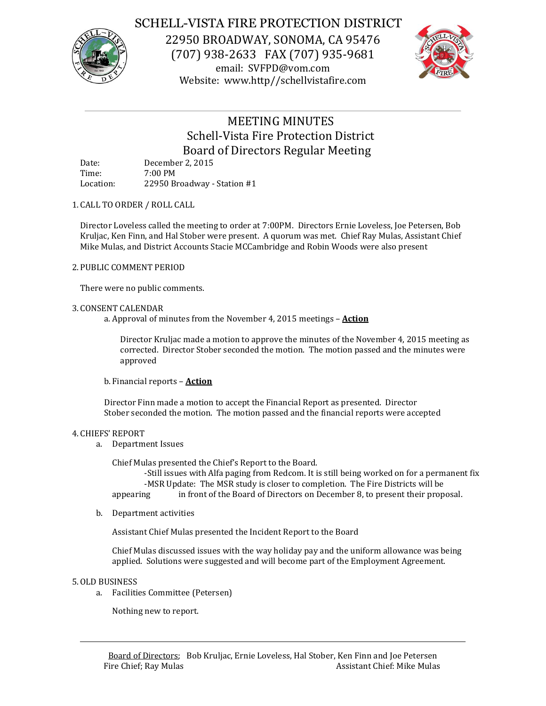

# SCHELL-VISTA FIRE PROTECTION DISTRICT

22950 BROADWAY, SONOMA, CA 95476 (707) 938-2633 FAX (707) 935-9681 email: SVFPD@vom.com Website: www.http//schellvistafire.com



# MEETING MINUTES Schell-Vista Fire Protection District Board of Directors Regular Meeting

| Date:     | December 2, 2015            |
|-----------|-----------------------------|
| Time:     | $7:00 \text{ PM}$           |
| Location: | 22950 Broadway - Station #1 |

# 1. CALL TO ORDER / ROLL CALL

Director Loveless called the meeting to order at 7:00PM. Directors Ernie Loveless, Joe Petersen, Bob Kruljac, Ken Finn, and Hal Stober were present. A quorum was met. Chief Ray Mulas, Assistant Chief Mike Mulas, and District Accounts Stacie MCCambridge and Robin Woods were also present

# 2. PUBLIC COMMENT PERIOD

There were no public comments.

# 3. CONSENT CALENDAR

a. Approval of minutes from the November 4, 2015 meetings – **Action**

Director Kruljac made a motion to approve the minutes of the November 4, 2015 meeting as corrected. Director Stober seconded the motion. The motion passed and the minutes were approved

b. Financial reports – **Action**

Director Finn made a motion to accept the Financial Report as presented. Director Stober seconded the motion. The motion passed and the financial reports were accepted

### 4. CHIEFS' REPORT

a. Department Issues

Chief Mulas presented the Chief's Report to the Board.

-Still issues with Alfa paging from Redcom. It is still being worked on for a permanent fix -MSR Update: The MSR study is closer to completion. The Fire Districts will be

appearing in front of the Board of Directors on December 8, to present their proposal.

b. Department activities

Assistant Chief Mulas presented the Incident Report to the Board

Chief Mulas discussed issues with the way holiday pay and the uniform allowance was being applied. Solutions were suggested and will become part of the Employment Agreement.

### 5.OLD BUSINESS

a. Facilities Committee (Petersen)

Nothing new to report.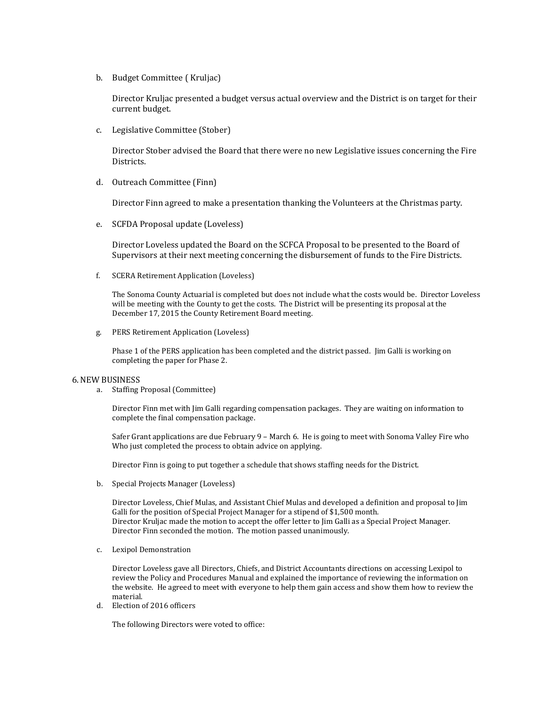b. Budget Committee ( Kruljac)

Director Kruljac presented a budget versus actual overview and the District is on target for their current budget.

c. Legislative Committee (Stober)

Director Stober advised the Board that there were no new Legislative issues concerning the Fire Districts.

d. Outreach Committee (Finn)

Director Finn agreed to make a presentation thanking the Volunteers at the Christmas party.

e. SCFDA Proposal update (Loveless)

Director Loveless updated the Board on the SCFCA Proposal to be presented to the Board of Supervisors at their next meeting concerning the disbursement of funds to the Fire Districts.

f. SCERA Retirement Application (Loveless)

The Sonoma County Actuarial is completed but does not include what the costs would be. Director Loveless will be meeting with the County to get the costs. The District will be presenting its proposal at the December 17, 2015 the County Retirement Board meeting.

g. PERS Retirement Application (Loveless)

Phase 1 of the PERS application has been completed and the district passed. Jim Galli is working on completing the paper for Phase 2.

#### 6.NEW BUSINESS

a. Staffing Proposal (Committee)

Director Finn met with Jim Galli regarding compensation packages. They are waiting on information to complete the final compensation package.

Safer Grant applications are due February 9 – March 6. He is going to meet with Sonoma Valley Fire who Who just completed the process to obtain advice on applying.

Director Finn is going to put together a schedule that shows staffing needs for the District.

b. Special Projects Manager (Loveless)

Director Loveless, Chief Mulas, and Assistant Chief Mulas and developed a definition and proposal to Jim Galli for the position of Special Project Manager for a stipend of \$1,500 month. Director Kruljac made the motion to accept the offer letter to Jim Galli as a Special Project Manager. Director Finn seconded the motion. The motion passed unanimously.

c. Lexipol Demonstration

Director Loveless gave all Directors, Chiefs, and District Accountants directions on accessing Lexipol to review the Policy and Procedures Manual and explained the importance of reviewing the information on the website. He agreed to meet with everyone to help them gain access and show them how to review the material.

d. Election of 2016 officers

The following Directors were voted to office: